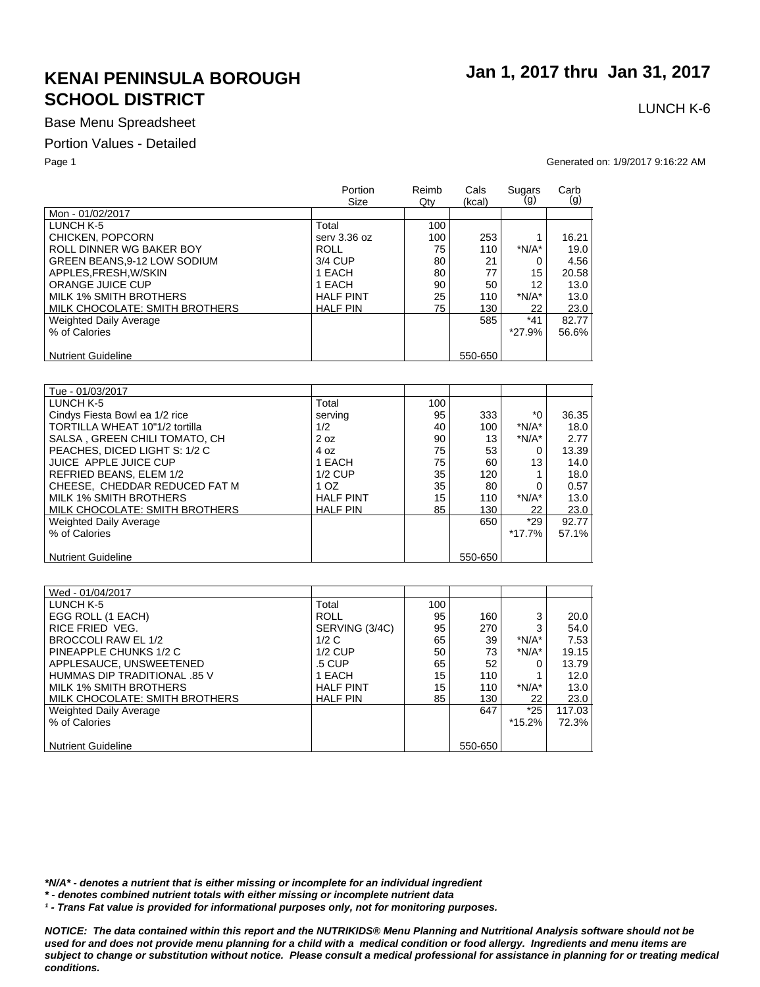### Base Menu Spreadsheet

#### Portion Values - Detailed

 **Jan 1, 2017 thru Jan 31, 2017**

# LUNCH K-6

Page 1 Generated on: 1/9/2017 9:16:22 AM

|                                    | Portion<br>Size  | Reimb<br>Qty | Cals<br>(kcal) | Sugars<br>(g) | Carb<br>(g) |
|------------------------------------|------------------|--------------|----------------|---------------|-------------|
| Mon - 01/02/2017                   |                  |              |                |               |             |
| LUNCH K-5                          | Total            | 100          |                |               |             |
| CHICKEN, POPCORN                   | serv 3.36 oz     | 100          | 253            |               | 16.21       |
| ROLL DINNER WG BAKER BOY           | ROLL             | 75           | 110            | $*N/A*$       | 19.0        |
| <b>GREEN BEANS.9-12 LOW SODIUM</b> | 3/4 CUP          | 80           | 21             |               | 4.56        |
| APPLES, FRESH, W/SKIN              | 1 EACH           | 80           | 77             | 15            | 20.58       |
| ORANGE JUICE CUP                   | 1 EACH           | 90           | 50             | 12            | 13.0        |
| MILK 1% SMITH BROTHERS             | <b>HALF PINT</b> | 25           | 110            | $*N/A*$       | 13.0        |
| MILK CHOCOLATE: SMITH BROTHERS     | <b>HALF PIN</b>  | 75           | 130            | 22            | 23.0        |
| <b>Weighted Daily Average</b>      |                  |              | 585            | $*41$         | 82.77       |
| % of Calories                      |                  |              |                | *27.9%        | 56.6%       |
|                                    |                  |              |                |               |             |
| <b>Nutrient Guideline</b>          |                  |              | 550-650        |               |             |

| Tue - 01/03/2017               |                  |     |         |         |       |
|--------------------------------|------------------|-----|---------|---------|-------|
| LUNCH K-5                      | Total            | 100 |         |         |       |
| Cindys Fiesta Bowl ea 1/2 rice | serving          | 95  | 333     | *0      | 36.35 |
| TORTILLA WHEAT 10"1/2 tortilla | 1/2              | 40  | 100     | $*N/A*$ | 18.0  |
| SALSA, GREEN CHILI TOMATO, CH  | 2 oz             | 90  | 13      | $*N/A*$ | 2.77  |
| PEACHES, DICED LIGHT S: 1/2 C  | 4 oz             | 75  | 53      |         | 13.39 |
| JUICE APPLE JUICE CUP          | 1 EACH           | 75  | 60      | 13      | 14.0  |
| REFRIED BEANS, ELEM 1/2        | $1/2$ CUP        | 35  | 120     |         | 18.0  |
| CHEESE. CHEDDAR REDUCED FAT M  | 1 OZ             | 35  | 80      |         | 0.57  |
| MILK 1% SMITH BROTHERS         | <b>HALF PINT</b> | 15  | 110     | $*N/A*$ | 13.0  |
| MILK CHOCOLATE: SMITH BROTHERS | <b>HALF PIN</b>  | 85  | 130     | 22      | 23.0  |
| <b>Weighted Daily Average</b>  |                  |     | 650     | $*29$   | 92.77 |
| % of Calories                  |                  |     |         | *17.7%  | 57.1% |
|                                |                  |     |         |         |       |
| <b>Nutrient Guideline</b>      |                  |     | 550-650 |         |       |

| Wed - 01/04/2017               |                  |     |         |          |        |
|--------------------------------|------------------|-----|---------|----------|--------|
| LUNCH K-5                      | Total            | 100 |         |          |        |
| EGG ROLL (1 EACH)              | <b>ROLL</b>      | 95  | 160     | 3        | 20.0   |
| RICE FRIED VEG.                | SERVING (3/4C)   | 95  | 270     | 3        | 54.0   |
| BROCCOLI RAW EL 1/2            | 1/2C             | 65  | 39      | $*N/A*$  | 7.53   |
| PINEAPPLE CHUNKS 1/2 C         | $1/2$ CUP        | 50  | 73      | $*N/A*$  | 19.15  |
| APPLESAUCE, UNSWEETENED        | .5 CUP           | 65  | 52      |          | 13.79  |
| HUMMAS DIP TRADITIONAL .85 V   | 1 EACH           | 15  | 110     |          | 12.0   |
| MILK 1% SMITH BROTHERS         | <b>HALF PINT</b> | 15  | 110     | $*N/A*$  | 13.0   |
| MILK CHOCOLATE: SMITH BROTHERS | <b>HALF PIN</b>  | 85  | 130     | 22       | 23.0   |
| <b>Weighted Daily Average</b>  |                  |     | 647     | $*25$    | 117.03 |
| % of Calories                  |                  |     |         | $*15.2%$ | 72.3%  |
|                                |                  |     |         |          |        |
| <b>Nutrient Guideline</b>      |                  |     | 550-650 |          |        |

*\*N/A\* - denotes a nutrient that is either missing or incomplete for an individual ingredient*

*\* - denotes combined nutrient totals with either missing or incomplete nutrient data*

*¹ - Trans Fat value is provided for informational purposes only, not for monitoring purposes.*

*NOTICE: The data contained within this report and the NUTRIKIDS® Menu Planning and Nutritional Analysis software should not be*  used for and does not provide menu planning for a child with a medical condition or food allergy. Ingredients and menu items are *subject to change or substitution without notice. Please consult a medical professional for assistance in planning for or treating medical conditions.*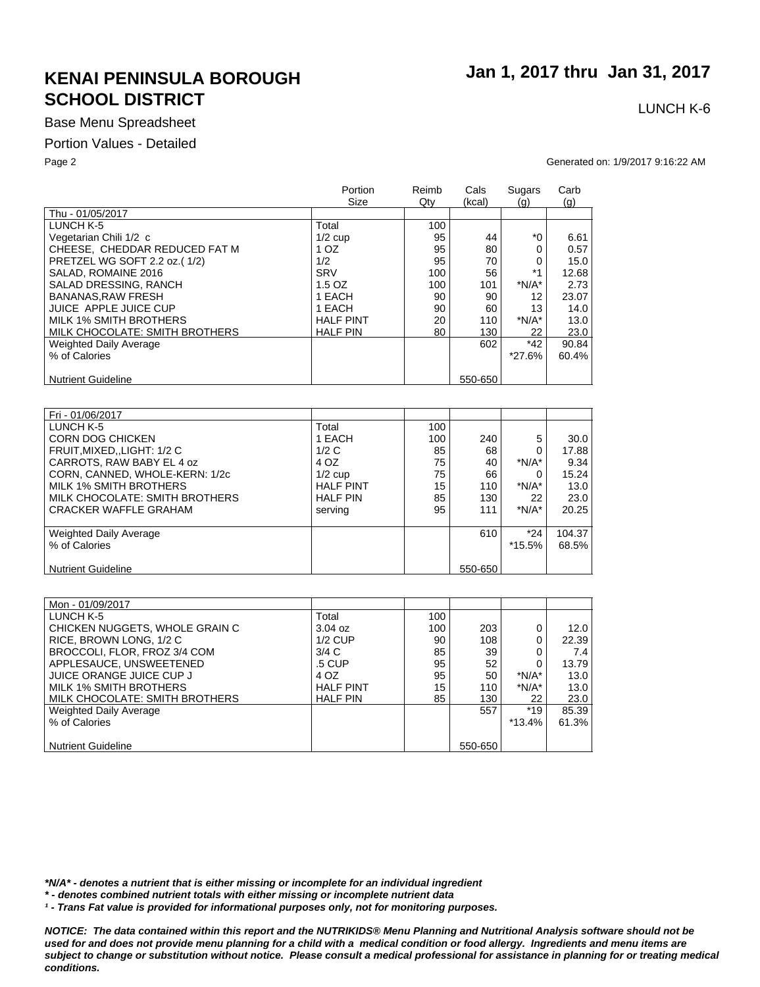### Base Menu Spreadsheet

#### Portion Values - Detailed

Page 2 Generated on: 1/9/2017 9:16:22 AM

|                                | Portion            | Reimb | Cals      | Sugars        | Carb           |
|--------------------------------|--------------------|-------|-----------|---------------|----------------|
|                                | Size               | Qty   | (kcal)    | (g)           | $\mathsf{(q)}$ |
| Thu - 01/05/2017               |                    |       |           |               |                |
| LUNCH K-5                      | Total              | 100   |           |               |                |
| Vegetarian Chili 1/2 c         | $1/2$ cup          | 95    | 44        | $*_{0}$       | 6.61           |
| CHEESE, CHEDDAR REDUCED FAT M  | 1 OZ               | 95    | 80        | 0             | 0.57           |
| PRETZEL WG SOFT 2.2 oz.(1/2)   | 1/2                | 95    | 70        | 0             | 15.0           |
| SALAD, ROMAINE 2016            | <b>SRV</b>         | 100   | 56        | $*1$          | 12.68          |
| SALAD DRESSING, RANCH          | 1.5 OZ             | 100   | 101       | $*N/A*$       | 2.73           |
| <b>BANANAS.RAW FRESH</b>       | 1 EACH             | 90    | 90        | 12            | 23.07          |
| JUICE APPLE JUICE CUP          | 1 EACH             | 90    | 60        | 13            | 14.0           |
| <b>MILK 1% SMITH BROTHERS</b>  | <b>HALF PINT</b>   | 20    | 110       | $*N/A*$       | 13.0           |
| MILK CHOCOLATE: SMITH BROTHERS | <b>HALF PIN</b>    | 80    | 130       | 22            | 23.0           |
| Weighted Daily Average         |                    |       | 602       | $*42$         | 90.84          |
| % of Calories                  |                    |       |           | *27.6%        | 60.4%          |
|                                |                    |       |           |               |                |
| <b>Nutrient Guideline</b>      |                    |       | 550-650   |               |                |
|                                |                    |       |           |               |                |
|                                |                    |       |           |               |                |
| Fri - 01/06/2017               |                    |       |           |               |                |
| LUNCH K-5                      | Total              | 100   |           |               |                |
| <b>CORN DOG CHICKEN</b>        | 1 EACH             | 100   | 240       | 5             | 30.0           |
| FRUIT, MIXED, , LIGHT: 1/2 C   | 1/2C               | 85    | 68        |               | 17.88          |
| CARROTS RAW RARY EL 4 07       | $\Lambda$ $\Omega$ | 75    | $\Lambda$ | $*NI/\Delta*$ | $Q$ $34$       |

| CARROTS, RAW BABY EL 4 oz      | 4 OZ             | 75 | 40      | $*N/A*$ | 9.34   |
|--------------------------------|------------------|----|---------|---------|--------|
| CORN. CANNED. WHOLE-KERN: 1/2c | $1/2$ cup        | 75 | 66      |         | 15.24  |
| MILK 1% SMITH BROTHERS         | <b>HALF PINT</b> | 15 | 110     | $*N/A*$ | 13.0   |
| MILK CHOCOLATE: SMITH BROTHERS | <b>HALF PIN</b>  | 85 | 130     | 22      | 23.0   |
| CRACKER WAFFLE GRAHAM          | serving          | 95 | 111     | $*N/A*$ | 20.25  |
|                                |                  |    |         |         |        |
| <b>Weighted Daily Average</b>  |                  |    | 610     | $*24$   | 104.37 |
| % of Calories                  |                  |    |         | *15.5%  | 68.5%  |
|                                |                  |    |         |         |        |
| <b>Nutrient Guideline</b>      |                  |    | 550-650 |         |        |
|                                |                  |    |         |         |        |

| Mon - 01/09/2017               |                  |     |         |          |       |
|--------------------------------|------------------|-----|---------|----------|-------|
| LUNCH K-5                      | Total            | 100 |         |          |       |
| CHICKEN NUGGETS, WHOLE GRAIN C | $3.04$ oz        | 100 | 203     | 0        | 12.0  |
| RICE, BROWN LONG, 1/2 C        | $1/2$ CUP        | 90  | 108     |          | 22.39 |
| BROCCOLI, FLOR, FROZ 3/4 COM   | 3/4C             | 85  | 39      |          | 7.4   |
| APPLESAUCE, UNSWEETENED        | .5 CUP           | 95  | 52      | 0        | 13.79 |
| JUICE ORANGE JUICE CUP J       | 4 OZ             | 95  | 50      | $*N/A*$  | 13.0  |
| MILK 1% SMITH BROTHERS         | <b>HALF PINT</b> | 15  | 110     | $*N/A*$  | 13.0  |
| MILK CHOCOLATE: SMITH BROTHERS | <b>HALF PIN</b>  | 85  | 130     | 22       | 23.0  |
| Weighted Daily Average         |                  |     | 557     | $*19$    | 85.39 |
| % of Calories                  |                  |     |         | $*13.4%$ | 61.3% |
|                                |                  |     |         |          |       |
| <b>Nutrient Guideline</b>      |                  |     | 550-650 |          |       |

*\*N/A\* - denotes a nutrient that is either missing or incomplete for an individual ingredient*

*\* - denotes combined nutrient totals with either missing or incomplete nutrient data*

*¹ - Trans Fat value is provided for informational purposes only, not for monitoring purposes.*

*NOTICE: The data contained within this report and the NUTRIKIDS® Menu Planning and Nutritional Analysis software should not be*  used for and does not provide menu planning for a child with a medical condition or food allergy. Ingredients and menu items are *subject to change or substitution without notice. Please consult a medical professional for assistance in planning for or treating medical conditions.*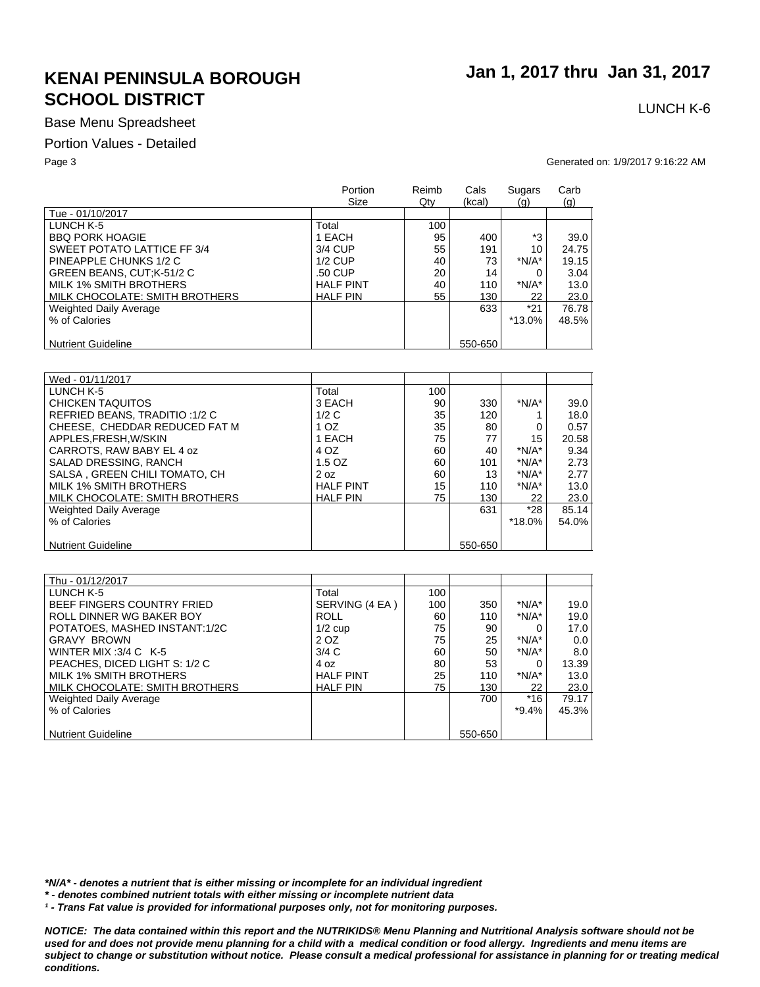### Base Menu Spreadsheet

#### Portion Values - Detailed

Page 3 Generated on: 1/9/2017 9:16:22 AM

|                                | Portion<br>Size  | Reimb<br>Qty | Cals<br>(kcal) | Sugars<br>(g) | Carb<br>(q) |
|--------------------------------|------------------|--------------|----------------|---------------|-------------|
| Tue - 01/10/2017               |                  |              |                |               |             |
| LUNCH K-5                      | Total            | 100          |                |               |             |
| <b>BBQ PORK HOAGIE</b>         | 1 EACH           | 95           | 400            | *3            | 39.0        |
| SWEET POTATO LATTICE FF 3/4    | 3/4 CUP          | 55           | 191            | 10            | 24.75       |
| PINEAPPLE CHUNKS 1/2 C         | $1/2$ CUP        | 40           | 73             | $*N/A*$       | 19.15       |
| GREEN BEANS, CUT;K-51/2 C      | .50 CUP          | 20           | 14             |               | 3.04        |
| MILK 1% SMITH BROTHERS         | <b>HALF PINT</b> | 40           | 110            | $*N/A*$       | 13.0        |
| MILK CHOCOLATE: SMITH BROTHERS | <b>HALF PIN</b>  | 55           | 130            | 22            | 23.0        |
| <b>Weighted Daily Average</b>  |                  |              | 633            | $*21$         | 76.78       |
| % of Calories                  |                  |              |                | $*13.0\%$     | 48.5%       |
|                                |                  |              |                |               |             |
| <b>Nutrient Guideline</b>      |                  |              | 550-650        |               |             |

| Wed - 01/11/2017               |                  |     |         |         |       |
|--------------------------------|------------------|-----|---------|---------|-------|
| LUNCH K-5                      | Total            | 100 |         |         |       |
| CHICKEN TAQUITOS               | 3 EACH           | 90  | 330     | $*N/A*$ | 39.0  |
| REFRIED BEANS, TRADITIO: 1/2 C | 1/2C             | 35  | 120     |         | 18.0  |
| CHEESE. CHEDDAR REDUCED FAT M  | 1 OZ             | 35  | 80      |         | 0.57  |
| APPLES.FRESH.W/SKIN            | 1 EACH           | 75  | 77      | 15      | 20.58 |
| CARROTS, RAW BABY EL 4 oz      | 4 OZ             | 60  | 40      | $*N/A*$ | 9.34  |
| SALAD DRESSING, RANCH          | $1.5$ OZ         | 60  | 101     | $*N/A*$ | 2.73  |
| SALSA, GREEN CHILI TOMATO, CH  | 2 oz             | 60  | 13      | $*N/A*$ | 2.77  |
| MILK 1% SMITH BROTHERS         | <b>HALF PINT</b> | 15  | 110     | $*N/A*$ | 13.0  |
| MILK CHOCOLATE: SMITH BROTHERS | <b>HALF PIN</b>  | 75  | 130     | 22      | 23.0  |
| Weighted Daily Average         |                  |     | 631     | *28     | 85.14 |
| % of Calories                  |                  |     |         | *18.0%  | 54.0% |
|                                |                  |     |         |         |       |
| <b>Nutrient Guideline</b>      |                  |     | 550-650 |         |       |

| Thu - 01/12/2017               |                  |     |         |          |       |
|--------------------------------|------------------|-----|---------|----------|-------|
| LUNCH K-5                      | Total            | 100 |         |          |       |
| BEEF FINGERS COUNTRY FRIED     | SERVING (4 EA)   | 100 | 350     | $*N/A*$  | 19.0  |
| ROLL DINNER WG BAKER BOY       | <b>ROLL</b>      | 60  | 110     | $*N/A*$  | 19.0  |
| POTATOES, MASHED INSTANT:1/2C  | $1/2$ cup        | 75  | 90      |          | 17.0  |
| <b>GRAVY BROWN</b>             | 2 OZ             | 75  | 25      | $*N/A*$  | 0.0   |
| WINTER MIX: $3/4$ C K-5        | 3/4C             | 60  | 50      | $*N/A*$  | 8.0   |
| PEACHES, DICED LIGHT S: 1/2 C  | 4 oz             | 80  | 53      |          | 13.39 |
| MILK 1% SMITH BROTHERS         | <b>HALF PINT</b> | 25  | 110     | $*N/A*$  | 13.0  |
| MILK CHOCOLATE: SMITH BROTHERS | <b>HALF PIN</b>  | 75  | 130     | 22       | 23.0  |
| <b>Weighted Daily Average</b>  |                  |     | 700     | $*16$    | 79.17 |
| % of Calories                  |                  |     |         | $*9.4\%$ | 45.3% |
|                                |                  |     |         |          |       |
| <b>Nutrient Guideline</b>      |                  |     | 550-650 |          |       |

*\*N/A\* - denotes a nutrient that is either missing or incomplete for an individual ingredient*

*\* - denotes combined nutrient totals with either missing or incomplete nutrient data*

*¹ - Trans Fat value is provided for informational purposes only, not for monitoring purposes.*

*NOTICE: The data contained within this report and the NUTRIKIDS® Menu Planning and Nutritional Analysis software should not be*  used for and does not provide menu planning for a child with a medical condition or food allergy. Ingredients and menu items are *subject to change or substitution without notice. Please consult a medical professional for assistance in planning for or treating medical conditions.*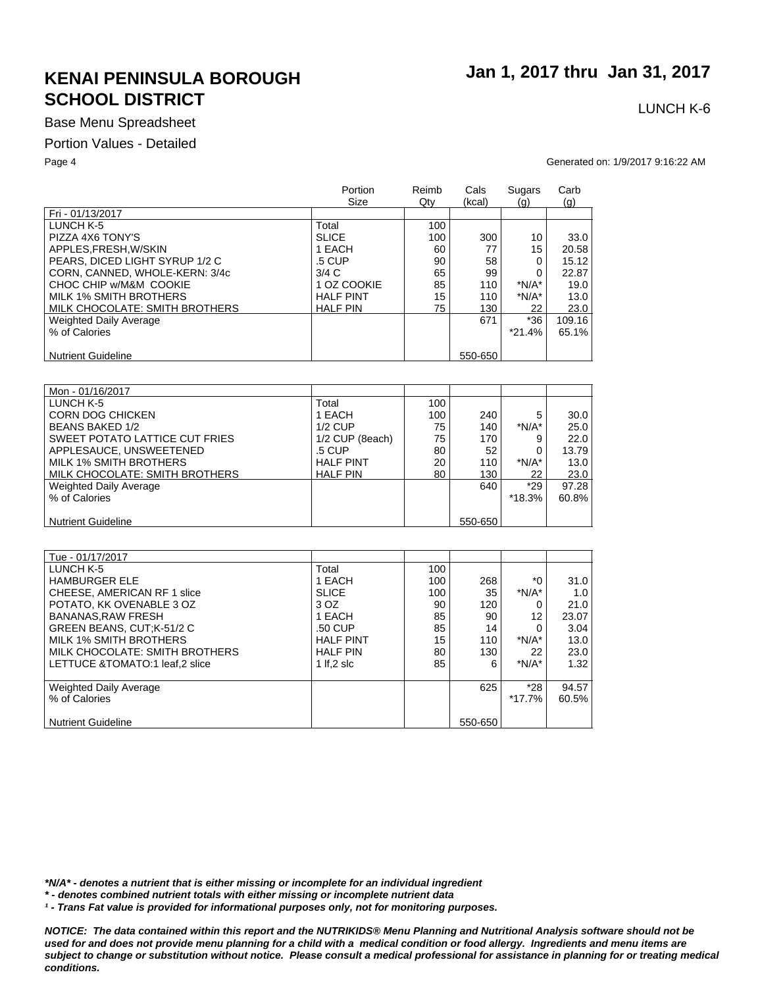### Base Menu Spreadsheet

#### Portion Values - Detailed

 **Jan 1, 2017 thru Jan 31, 2017**

# LUNCH K-6

Page 4 Generated on: 1/9/2017 9:16:22 AM

| Fri - 01/13/2017<br>LUNCH K-5<br>Total<br>100<br>PIZZA 4X6 TONY'S<br><b>SLICE</b><br>100<br>300<br>10<br>APPLES, FRESH, W/SKIN<br>60<br>15<br>1 EACH<br>77<br>PEARS, DICED LIGHT SYRUP 1/2 C<br>.5 CUP<br>90<br>58<br>$\Omega$<br>3/4C<br>65<br>99<br>CORN, CANNED, WHOLE-KERN: 3/4c<br>$\Omega$<br>CHOC CHIP w/M&M COOKIE<br>85<br>$*N/A*$<br>1 OZ COOKIE<br>110<br>MILK 1% SMITH BROTHERS<br><b>HALF PINT</b><br>15<br>$*N/A*$<br>110<br>MILK CHOCOLATE: SMITH BROTHERS<br>75<br><b>HALF PIN</b><br>130<br>22<br>$*36$<br>671<br><b>Weighted Daily Average</b> |               | Portion<br>Size | Reimb<br>Qty | Cals<br>(kcal) | Sugars<br>(q) | Carb<br>(g) |
|------------------------------------------------------------------------------------------------------------------------------------------------------------------------------------------------------------------------------------------------------------------------------------------------------------------------------------------------------------------------------------------------------------------------------------------------------------------------------------------------------------------------------------------------------------------|---------------|-----------------|--------------|----------------|---------------|-------------|
|                                                                                                                                                                                                                                                                                                                                                                                                                                                                                                                                                                  |               |                 |              |                |               |             |
|                                                                                                                                                                                                                                                                                                                                                                                                                                                                                                                                                                  |               |                 |              |                |               |             |
|                                                                                                                                                                                                                                                                                                                                                                                                                                                                                                                                                                  |               |                 |              |                |               | 33.0        |
|                                                                                                                                                                                                                                                                                                                                                                                                                                                                                                                                                                  |               |                 |              |                |               | 20.58       |
|                                                                                                                                                                                                                                                                                                                                                                                                                                                                                                                                                                  |               |                 |              |                |               | 15.12       |
|                                                                                                                                                                                                                                                                                                                                                                                                                                                                                                                                                                  |               |                 |              |                |               | 22.87       |
|                                                                                                                                                                                                                                                                                                                                                                                                                                                                                                                                                                  |               |                 |              |                |               | 19.0        |
|                                                                                                                                                                                                                                                                                                                                                                                                                                                                                                                                                                  |               |                 |              |                |               | 13.0        |
|                                                                                                                                                                                                                                                                                                                                                                                                                                                                                                                                                                  |               |                 |              |                |               | 23.0        |
|                                                                                                                                                                                                                                                                                                                                                                                                                                                                                                                                                                  |               |                 |              |                |               | 109.16      |
|                                                                                                                                                                                                                                                                                                                                                                                                                                                                                                                                                                  | % of Calories |                 |              |                | $*21.4%$      | 65.1%       |
|                                                                                                                                                                                                                                                                                                                                                                                                                                                                                                                                                                  |               |                 |              |                |               |             |
| 550-650<br><b>Nutrient Guideline</b>                                                                                                                                                                                                                                                                                                                                                                                                                                                                                                                             |               |                 |              |                |               |             |
|                                                                                                                                                                                                                                                                                                                                                                                                                                                                                                                                                                  |               |                 |              |                |               |             |
|                                                                                                                                                                                                                                                                                                                                                                                                                                                                                                                                                                  |               |                 |              |                |               |             |
| Mon - 01/16/2017                                                                                                                                                                                                                                                                                                                                                                                                                                                                                                                                                 |               |                 |              |                |               |             |
| LUNCH K-5<br>Total<br>100                                                                                                                                                                                                                                                                                                                                                                                                                                                                                                                                        |               |                 |              |                |               |             |
| <b>CORN DOG CHICKEN</b><br>1 EACH<br>100<br>240<br>5                                                                                                                                                                                                                                                                                                                                                                                                                                                                                                             |               |                 |              |                |               | 30.0        |
| $*N/A*$<br><b>BEANS BAKED 1/2</b><br>$1/2$ CUP<br>140<br>75                                                                                                                                                                                                                                                                                                                                                                                                                                                                                                      |               |                 |              |                |               | 25.0        |
| SWEET POTATO LATTICE CUT FRIES<br>1/2 CUP (8each)<br>75<br>170<br>9                                                                                                                                                                                                                                                                                                                                                                                                                                                                                              |               |                 |              |                |               | 22.0        |
| APPLESAUCE, UNSWEETENED<br>.5 CUP<br>80<br>52<br>∩                                                                                                                                                                                                                                                                                                                                                                                                                                                                                                               |               |                 |              |                |               | 13.79       |
| $*N/A*$<br><b>MILK 1% SMITH BROTHERS</b><br><b>HAIF PINT</b><br>20<br>110                                                                                                                                                                                                                                                                                                                                                                                                                                                                                        |               |                 |              |                |               | 13.0        |
| MILK CHOCOLATE: SMITH BROTHERS<br>80<br><b>HALF PIN</b><br>130<br>22                                                                                                                                                                                                                                                                                                                                                                                                                                                                                             |               |                 |              |                |               | 23.0        |
| $*29$<br>640<br><b>Weighted Daily Average</b>                                                                                                                                                                                                                                                                                                                                                                                                                                                                                                                    |               |                 |              |                |               | 97.28       |
| $*18.3%$<br>% of Calories                                                                                                                                                                                                                                                                                                                                                                                                                                                                                                                                        |               |                 |              |                |               | 60.8%       |
|                                                                                                                                                                                                                                                                                                                                                                                                                                                                                                                                                                  |               |                 |              |                |               |             |
| 550-650<br><b>Nutrient Guideline</b>                                                                                                                                                                                                                                                                                                                                                                                                                                                                                                                             |               |                 |              |                |               |             |

| Tue - 01/17/2017               |                  |     |         |           |       |
|--------------------------------|------------------|-----|---------|-----------|-------|
| LUNCH K-5                      | Total            | 100 |         |           |       |
| <b>HAMBURGER ELE</b>           | 1 EACH           | 100 | 268     | ۰ึ (      | 31.0  |
| CHEESE, AMERICAN RF 1 slice    | <b>SLICE</b>     | 100 | 35      | $*N/A*$   | 1.0   |
| POTATO, KK OVENABLE 3 OZ       | 3 OZ             | 90  | 120     |           | 21.0  |
| BANANAS.RAW FRESH              | 1 EACH           | 85  | 90      | 12        | 23.07 |
| GREEN BEANS, CUT;K-51/2 C      | .50 CUP          | 85  | 14      | 0         | 3.04  |
| MILK 1% SMITH BROTHERS         | <b>HALF PINT</b> | 15  | 110     | $*N/A*$   | 13.0  |
| MILK CHOCOLATE: SMITH BROTHERS | <b>HALF PIN</b>  | 80  | 130     | 22        | 23.0  |
| LETTUCE &TOMATO:1 leaf.2 slice | 1 If.2 slc       | 85  | 6       | $*N/A*$   | 1.32  |
|                                |                  |     |         |           |       |
| Weighted Daily Average         |                  |     | 625     | $*28$     | 94.57 |
| % of Calories                  |                  |     |         | $*17.7\%$ | 60.5% |
|                                |                  |     |         |           |       |
| <b>Nutrient Guideline</b>      |                  |     | 550-650 |           |       |

*\*N/A\* - denotes a nutrient that is either missing or incomplete for an individual ingredient*

*\* - denotes combined nutrient totals with either missing or incomplete nutrient data*

*¹ - Trans Fat value is provided for informational purposes only, not for monitoring purposes.*

*NOTICE: The data contained within this report and the NUTRIKIDS® Menu Planning and Nutritional Analysis software should not be used for and does not provide menu planning for a child with a medical condition or food allergy. Ingredients and menu items are subject to change or substitution without notice. Please consult a medical professional for assistance in planning for or treating medical conditions.*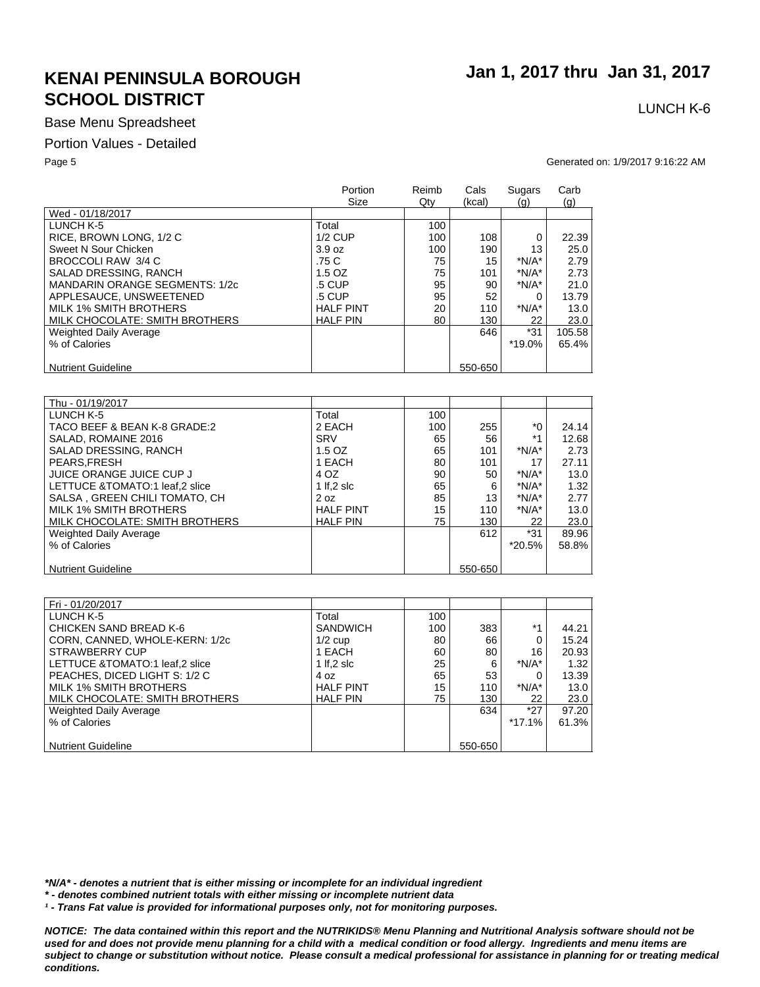### Base Menu Spreadsheet

#### Portion Values - Detailed

Page 5 Generated on: 1/9/2017 9:16:22 AM

|                                | Portion<br>Size  | Reimb<br>$Q$ ty | Cals<br>(kcal) | Sugars<br>(q) | Carb<br>(q) |
|--------------------------------|------------------|-----------------|----------------|---------------|-------------|
| Wed - 01/18/2017               |                  |                 |                |               |             |
| LUNCH K-5                      | Total            | 100             |                |               |             |
| RICE, BROWN LONG, 1/2 C        | $1/2$ CUP        | 100             | 108            | 0             | 22.39       |
| Sweet N Sour Chicken           | 3.9 oz           | 100             | 190            | 13            | 25.0        |
| BROCCOLI RAW 3/4 C             | .75 C            | 75              | 15             | $*N/A*$       | 2.79        |
| SALAD DRESSING, RANCH          | $1.5$ OZ         | 75              | 101            | $*N/A*$       | 2.73        |
| MANDARIN ORANGE SEGMENTS: 1/2c | .5 CUP           | 95              | 90             | $*N/A*$       | 21.0        |
| APPLESAUCE, UNSWEETENED        | .5 CUP           | 95              | 52             | $\Omega$      | 13.79       |
| MILK 1% SMITH BROTHERS         | <b>HALF PINT</b> | 20              | 110            | $*N/A*$       | 13.0        |
| MILK CHOCOLATE: SMITH BROTHERS | <b>HALF PIN</b>  | 80              | 130            | 22            | 23.0        |
| Weighted Daily Average         |                  |                 | 646            | $*31$         | 105.58      |
| % of Calories                  |                  |                 |                | *19.0%        | 65.4%       |
|                                |                  |                 |                |               |             |
| <b>Nutrient Guideline</b>      |                  |                 | 550-650        |               |             |

| Thu - 01/19/2017                |                  |     |         |         |       |
|---------------------------------|------------------|-----|---------|---------|-------|
| LUNCH K-5                       | Total            | 100 |         |         |       |
| TACO BEEF & BEAN K-8 GRADE:2    | 2 EACH           | 100 | 255     | *0      | 24.14 |
| SALAD, ROMAINE 2016             | <b>SRV</b>       | 65  | 56      | $*1$    | 12.68 |
| SALAD DRESSING, RANCH           | 1.5 OZ           | 65  | 101     | $*N/A*$ | 2.73  |
| PEARS.FRESH                     | 1 EACH           | 80  | 101     | 17      | 27.11 |
| JUICE ORANGE JUICE CUP J        | 4 OZ             | 90  | 50      | $*N/A*$ | 13.0  |
| LETTUCE & TOMATO:1 leaf.2 slice | 1 If.2 $s$ Ic    | 65  | 6       | $*N/A*$ | 1.32  |
| SALSA, GREEN CHILI TOMATO, CH   | 2 oz             | 85  | 13      | $*N/A*$ | 2.77  |
| MILK 1% SMITH BROTHERS          | <b>HALF PINT</b> | 15  | 110     | $*N/A*$ | 13.0  |
| MILK CHOCOLATE: SMITH BROTHERS  | <b>HALF PIN</b>  | 75  | 130     | 22      | 23.0  |
| <b>Weighted Daily Average</b>   |                  |     | 612     | $*31$   | 89.96 |
| % of Calories                   |                  |     |         | *20.5%  | 58.8% |
|                                 |                  |     |         |         |       |
| <b>Nutrient Guideline</b>       |                  |     | 550-650 |         |       |

| Fri - 01/20/2017               |                  |     |         |          |       |
|--------------------------------|------------------|-----|---------|----------|-------|
| LUNCH K-5                      | Total            | 100 |         |          |       |
| <b>CHICKEN SAND BREAD K-6</b>  | <b>SANDWICH</b>  | 100 | 383     | $*1$     | 44.21 |
| CORN, CANNED, WHOLE-KERN: 1/2c | $1/2$ cup        | 80  | 66      | 0        | 15.24 |
| STRAWBERRY CUP                 | 1 EACH           | 60  | 80      | 16       | 20.93 |
| LETTUCE &TOMATO:1 leaf,2 slice | 1 If, $2$ slc    | 25  | 6       | $*N/A*$  | 1.32  |
| PEACHES, DICED LIGHT S: 1/2 C  | 4 oz             | 65  | 53      | 0        | 13.39 |
| MILK 1% SMITH BROTHERS         | <b>HALF PINT</b> | 15  | 110     | $*N/A*$  | 13.0  |
| MILK CHOCOLATE: SMITH BROTHERS | <b>HALF PIN</b>  | 75  | 130     | 22       | 23.0  |
| Weighted Daily Average         |                  |     | 634     | $*27$    | 97.20 |
| % of Calories                  |                  |     |         | $*17.1%$ | 61.3% |
|                                |                  |     |         |          |       |
| <b>Nutrient Guideline</b>      |                  |     | 550-650 |          |       |

*\*N/A\* - denotes a nutrient that is either missing or incomplete for an individual ingredient*

*\* - denotes combined nutrient totals with either missing or incomplete nutrient data*

*¹ - Trans Fat value is provided for informational purposes only, not for monitoring purposes.*

*NOTICE: The data contained within this report and the NUTRIKIDS® Menu Planning and Nutritional Analysis software should not be*  used for and does not provide menu planning for a child with a medical condition or food allergy. Ingredients and menu items are *subject to change or substitution without notice. Please consult a medical professional for assistance in planning for or treating medical conditions.*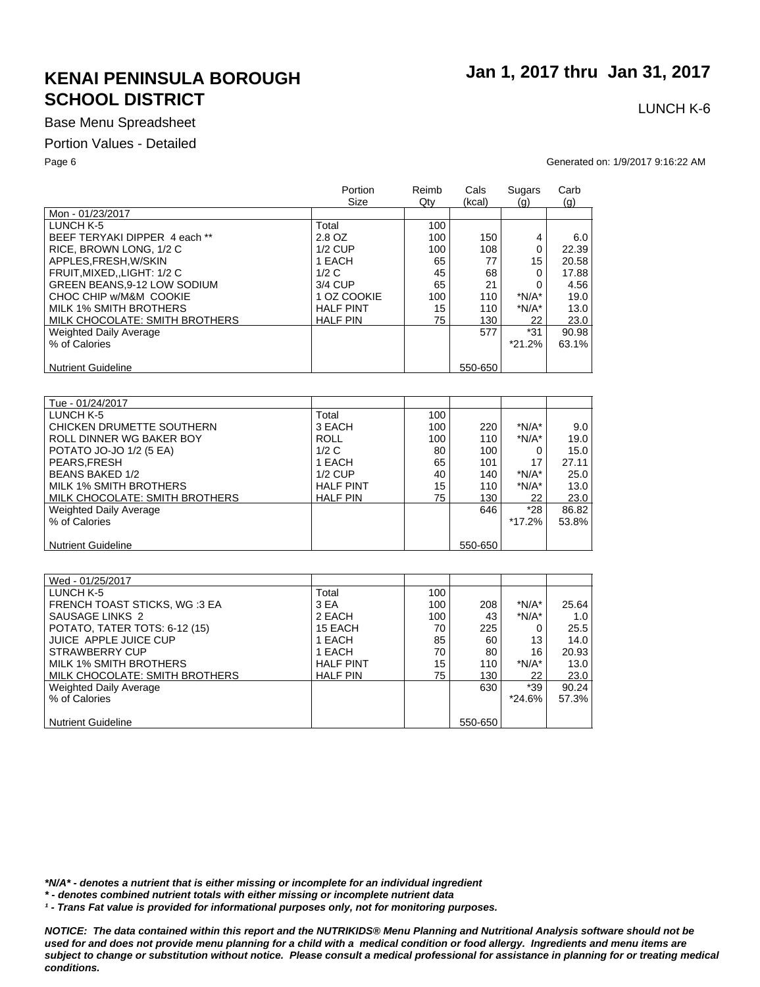### Base Menu Spreadsheet

#### Portion Values - Detailed

Page 6 Generated on: 1/9/2017 9:16:22 AM

|                                    | Portion<br>Size  | Reimb<br>$Q$ ty | Cals<br>(kcal) | Sugars<br>$\left( q\right)$ | Carb<br>(q) |
|------------------------------------|------------------|-----------------|----------------|-----------------------------|-------------|
| Mon - 01/23/2017                   |                  |                 |                |                             |             |
| LUNCH K-5                          | Total            | 100             |                |                             |             |
| BEEF TERYAKI DIPPER 4 each **      | 2.8 OZ           | 100             | 150            | 4                           | 6.0         |
| RICE, BROWN LONG, 1/2 C            | $1/2$ CUP        | 100             | 108            | 0                           | 22.39       |
| APPLES.FRESH.W/SKIN                | 1 EACH           | 65              | 77             | 15                          | 20.58       |
| FRUIT, MIXED, , LIGHT: 1/2 C       | 1/2C             | 45              | 68             | 0                           | 17.88       |
| <b>GREEN BEANS.9-12 LOW SODIUM</b> | 3/4 CUP          | 65              | 21             |                             | 4.56        |
| CHOC CHIP w/M&M COOKIE             | 1 OZ COOKIE      | 100             | 110            | $*N/A*$                     | 19.0        |
| MILK 1% SMITH BROTHERS             | <b>HALF PINT</b> | 15              | 110            | $*N/A*$                     | 13.0        |
| MILK CHOCOLATE: SMITH BROTHERS     | <b>HALF PIN</b>  | 75              | 130            | 22                          | 23.0        |
| <b>Weighted Daily Average</b>      |                  |                 | 577            | $*31$                       | 90.98       |
| % of Calories                      |                  |                 |                | $*21.2%$                    | 63.1%       |
|                                    |                  |                 |                |                             |             |
| <b>Nutrient Guideline</b>          |                  |                 | 550-650        |                             |             |

| Tue - 01/24/2017               |                  |     |         |         |       |
|--------------------------------|------------------|-----|---------|---------|-------|
| LUNCH K-5                      | Total            | 100 |         |         |       |
| CHICKEN DRUMETTE SOUTHERN      | 3 EACH           | 100 | 220     | $*N/A*$ | 9.0   |
| ROLL DINNER WG BAKER BOY       | <b>ROLL</b>      | 100 | 110     | $*N/A*$ | 19.0  |
| POTATO JO-JO 1/2 (5 EA)        | 1/2C             | 80  | 100     |         | 15.0  |
| PEARS.FRESH                    | 1 EACH           | 65  | 101     | 17      | 27.11 |
| <b>BEANS BAKED 1/2</b>         | $1/2$ CUP        | 40  | 140     | $*N/A*$ | 25.0  |
| MILK 1% SMITH BROTHERS         | <b>HALF PINT</b> | 15  | 110     | $*N/A*$ | 13.0  |
| MILK CHOCOLATE: SMITH BROTHERS | <b>HALF PIN</b>  | 75  | 130     | 22      | 23.0  |
| Weighted Daily Average         |                  |     | 646     | $*28$   | 86.82 |
| % of Calories                  |                  |     |         | *17.2%  | 53.8% |
|                                |                  |     |         |         |       |
| <b>Nutrient Guideline</b>      |                  |     | 550-650 |         |       |

| Wed - 01/25/2017                    |                  |     |         |         |       |
|-------------------------------------|------------------|-----|---------|---------|-------|
| LUNCH K-5                           | Total            | 100 |         |         |       |
| <b>FRENCH TOAST STICKS, WG:3 EA</b> | 3 EA             | 100 | 208     | $*N/A*$ | 25.64 |
| SAUSAGE LINKS 2                     | 2 EACH           | 100 | 43      | $*N/A*$ | 1.0   |
| POTATO, TATER TOTS: 6-12 (15)       | 15 EACH          | 70  | 225     |         | 25.5  |
| JUICE APPLE JUICE CUP               | 1 EACH           | 85  | 60      | 13      | 14.0  |
| STRAWBERRY CUP                      | 1 EACH           | 70  | 80      | 16      | 20.93 |
| MILK 1% SMITH BROTHERS              | <b>HALF PINT</b> | 15  | 110     | $*N/A*$ | 13.0  |
| MILK CHOCOLATE: SMITH BROTHERS      | <b>HALF PIN</b>  | 75  | 130     | 22      | 23.0  |
| Weighted Daily Average              |                  |     | 630     | *39     | 90.24 |
| % of Calories                       |                  |     |         | *24.6%  | 57.3% |
|                                     |                  |     |         |         |       |
| <b>Nutrient Guideline</b>           |                  |     | 550-650 |         |       |

*\*N/A\* - denotes a nutrient that is either missing or incomplete for an individual ingredient*

*\* - denotes combined nutrient totals with either missing or incomplete nutrient data*

*¹ - Trans Fat value is provided for informational purposes only, not for monitoring purposes.*

*NOTICE: The data contained within this report and the NUTRIKIDS® Menu Planning and Nutritional Analysis software should not be*  used for and does not provide menu planning for a child with a medical condition or food allergy. Ingredients and menu items are *subject to change or substitution without notice. Please consult a medical professional for assistance in planning for or treating medical conditions.*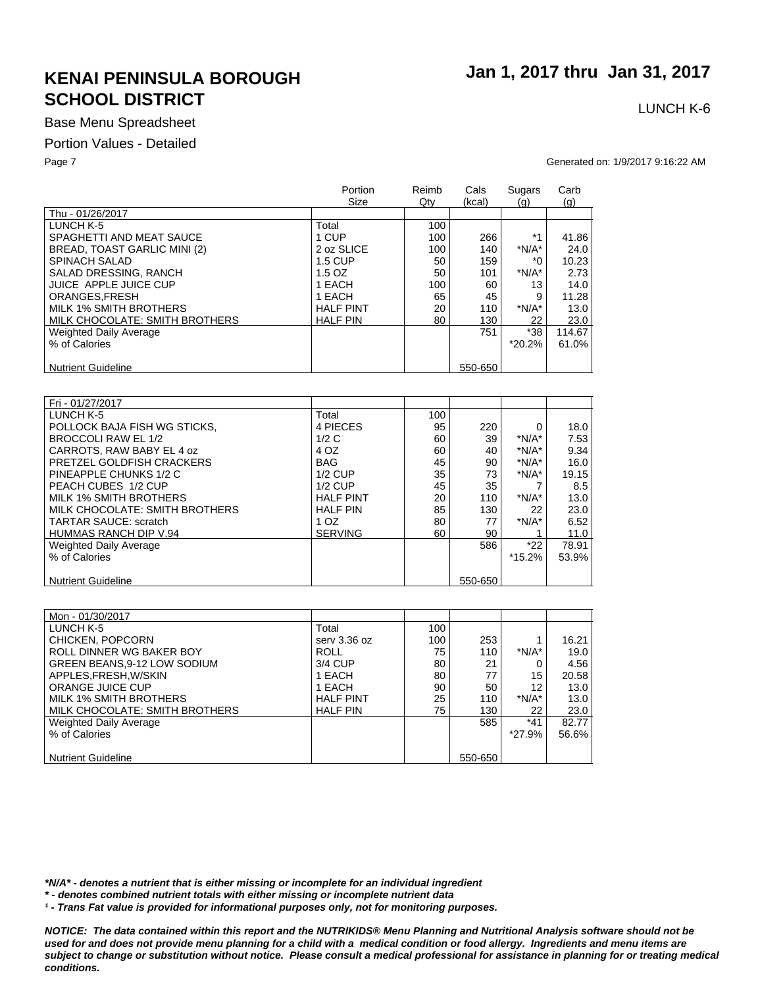### Base Menu Spreadsheet

#### Portion Values - Detailed

Page 7 Generated on: 1/9/2017 9:16:22 AM

|                                | Portion<br>Size  | Reimb<br>$Q$ ty | Cals<br>(kcal) | Sugars<br>(q) | Carb<br>(g) |
|--------------------------------|------------------|-----------------|----------------|---------------|-------------|
| Thu - 01/26/2017               |                  |                 |                |               |             |
| LUNCH K-5                      | Total            | 100             |                |               |             |
| SPAGHETTI AND MEAT SAUCE       | 1 CUP            | 100             | 266            | $*1$          | 41.86       |
| BREAD, TOAST GARLIC MINI (2)   | 2 oz SLICE       | 100             | 140            | $*N/A*$       | 24.0        |
| <b>SPINACH SALAD</b>           | <b>1.5 CUP</b>   | 50              | 159            | ۰'n           | 10.23       |
| SALAD DRESSING, RANCH          | $1.5$ OZ         | 50              | 101            | $*N/A*$       | 2.73        |
| JUICE APPLE JUICE CUP          | 1 EACH           | 100             | 60             | 13            | 14.0        |
| ORANGES.FRESH                  | 1 EACH           | 65              | 45             | 9             | 11.28       |
| MILK 1% SMITH BROTHERS         | <b>HALF PINT</b> | 20              | 110            | $*N/A*$       | 13.0        |
| MILK CHOCOLATE: SMITH BROTHERS | <b>HALF PIN</b>  | 80              | 130            | 22            | 23.0        |
| Weighted Daily Average         |                  |                 | 751            | $*38$         | 114.67      |
| % of Calories                  |                  |                 |                | $*20.2%$      | 61.0%       |
|                                |                  |                 |                |               |             |
| <b>Nutrient Guideline</b>      |                  |                 | 550-650        |               |             |

| Fri - 01/27/2017               |                  |     |         |          |       |
|--------------------------------|------------------|-----|---------|----------|-------|
| LUNCH K-5                      | Total            | 100 |         |          |       |
| POLLOCK BAJA FISH WG STICKS.   | 4 PIECES         | 95  | 220     | 0        | 18.0  |
| BROCCOLI RAW EL 1/2            | 1/2C             | 60  | 39      | $*N/A*$  | 7.53  |
| CARROTS, RAW BABY EL 4 oz      | 4 OZ             | 60  | 40      | $*N/A*$  | 9.34  |
| PRETZEL GOLDFISH CRACKERS      | <b>BAG</b>       | 45  | 90      | $*N/A*$  | 16.0  |
| PINEAPPLE CHUNKS 1/2 C         | $1/2$ CUP        | 35  | 73      | $*N/A*$  | 19.15 |
| PEACH CUBES 1/2 CUP            | $1/2$ CUP        | 45  | 35      |          | 8.5   |
| MILK 1% SMITH BROTHERS         | <b>HALF PINT</b> | 20  | 110     | $*N/A*$  | 13.0  |
| MILK CHOCOLATE: SMITH BROTHERS | <b>HALF PIN</b>  | 85  | 130     | 22       | 23.0  |
| <b>TARTAR SAUCE: scratch</b>   | 1 OZ             | 80  | 77      | $*N/A*$  | 6.52  |
| <b>HUMMAS RANCH DIP V.94</b>   | <b>SERVING</b>   | 60  | 90      |          | 11.0  |
| <b>Weighted Daily Average</b>  |                  |     | 586     | $*22$    | 78.91 |
| % of Calories                  |                  |     |         | $*15.2%$ | 53.9% |
|                                |                  |     |         |          |       |
| <b>Nutrient Guideline</b>      |                  |     | 550-650 |          |       |

| Mon - 01/30/2017                   |                  |     |         |         |       |
|------------------------------------|------------------|-----|---------|---------|-------|
| LUNCH K-5                          | Total            | 100 |         |         |       |
| CHICKEN, POPCORN                   | serv 3.36 oz     | 100 | 253     |         | 16.21 |
| ROLL DINNER WG BAKER BOY           | <b>ROLL</b>      | 75  | 110     | $*N/A*$ | 19.0  |
| <b>GREEN BEANS.9-12 LOW SODIUM</b> | 3/4 CUP          | 80  | 21      |         | 4.56  |
| APPLES, FRESH, W/SKIN              | 1 EACH           | 80  | 77      | 15      | 20.58 |
| ORANGE JUICE CUP                   | 1 EACH           | 90  | 50      | 12      | 13.0  |
| MILK 1% SMITH BROTHERS             | <b>HALF PINT</b> | 25  | 110     | $*N/A*$ | 13.0  |
| MILK CHOCOLATE: SMITH BROTHERS     | <b>HALF PIN</b>  | 75  | 130     | 22      | 23.0  |
| Weighted Daily Average             |                  |     | 585     | $*41$   | 82.77 |
| % of Calories                      |                  |     |         | *27.9%  | 56.6% |
|                                    |                  |     |         |         |       |
| <b>Nutrient Guideline</b>          |                  |     | 550-650 |         |       |

*\*N/A\* - denotes a nutrient that is either missing or incomplete for an individual ingredient*

*\* - denotes combined nutrient totals with either missing or incomplete nutrient data*

*¹ - Trans Fat value is provided for informational purposes only, not for monitoring purposes.*

*NOTICE: The data contained within this report and the NUTRIKIDS® Menu Planning and Nutritional Analysis software should not be*  used for and does not provide menu planning for a child with a medical condition or food allergy. Ingredients and menu items are *subject to change or substitution without notice. Please consult a medical professional for assistance in planning for or treating medical conditions.*

# **Jan 1, 2017 thru Jan 31, 2017**